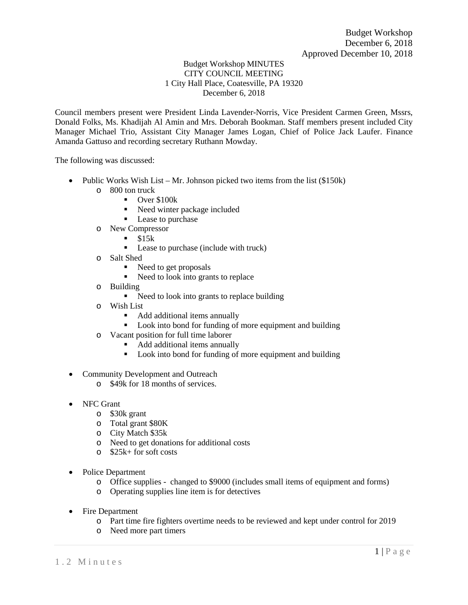## Budget Workshop MINUTES CITY COUNCIL MEETING 1 City Hall Place, Coatesville, PA 19320 December 6, 2018

Council members present were President Linda Lavender-Norris, Vice President Carmen Green, Mssrs, Donald Folks, Ms. Khadijah Al Amin and Mrs. Deborah Bookman. Staff members present included City Manager Michael Trio, Assistant City Manager James Logan, Chief of Police Jack Laufer. Finance Amanda Gattuso and recording secretary Ruthann Mowday.

The following was discussed:

- Public Works Wish List Mr. Johnson picked two items from the list (\$150k)
	- o 800 ton truck
		- $\blacksquare$  Over \$100 $k$
		- Need winter package included
		- Lease to purchase
	- o New Compressor
		- $\blacksquare$  \$15k
		- Lease to purchase (include with truck)
	- o Salt Shed
		- Need to get proposals
		- Need to look into grants to replace
	- o Building
		- Need to look into grants to replace building
	- o Wish List
		- Add additional items annually
		- Look into bond for funding of more equipment and building
	- o Vacant position for full time laborer
		- Add additional items annually
		- Look into bond for funding of more equipment and building
- Community Development and Outreach
	- o \$49k for 18 months of services.
- NFC Grant
	- o \$30k grant
	- o Total grant \$80K
	- o City Match \$35k
	- o Need to get donations for additional costs
	- o \$25k+ for soft costs
- Police Department
	- o Office supplies changed to \$9000 (includes small items of equipment and forms)
	- o Operating supplies line item is for detectives
- Fire Department
	- o Part time fire fighters overtime needs to be reviewed and kept under control for 2019
	- o Need more part timers